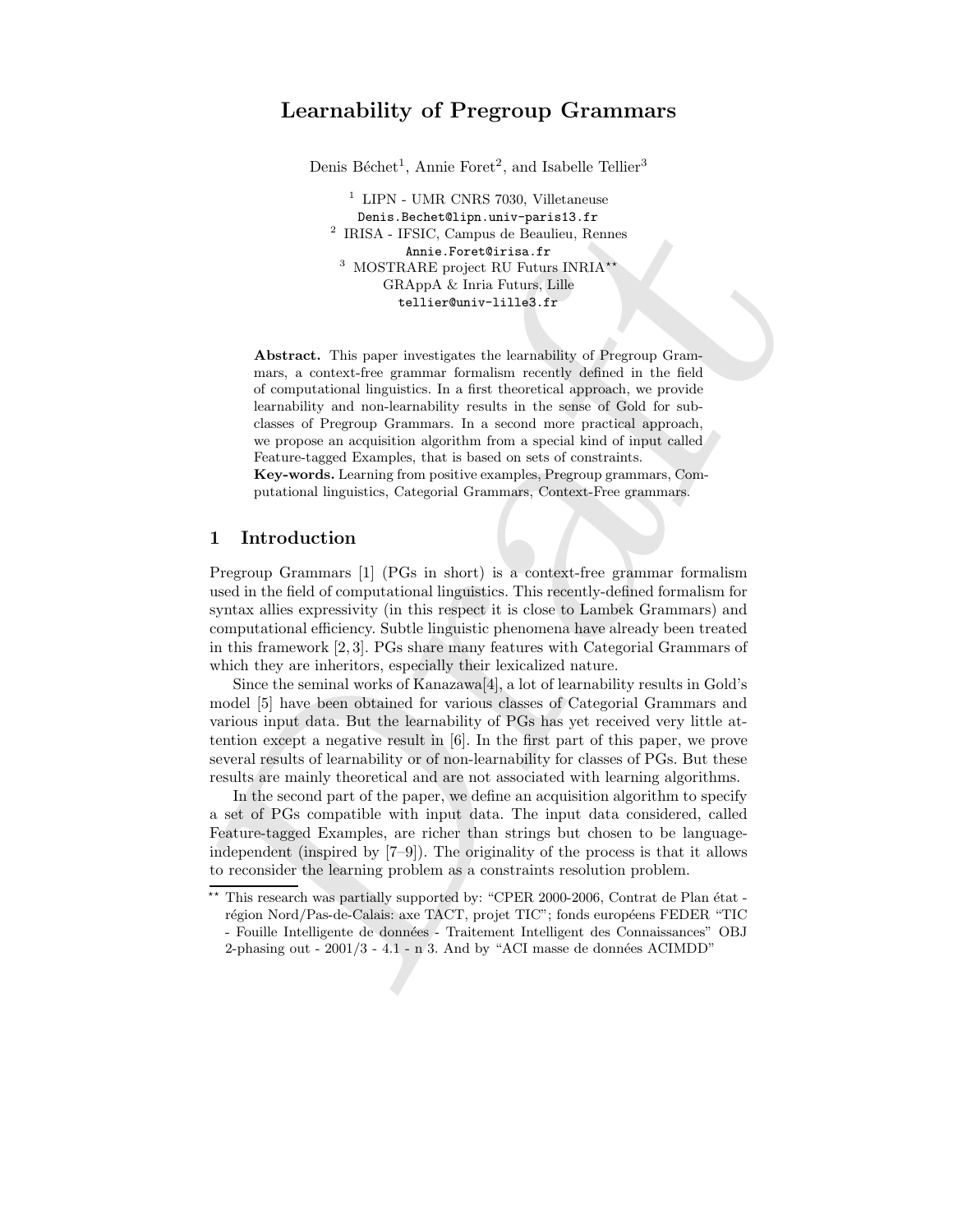# Learnability of Pregroup Grammars

Denis Béchet<sup>1</sup>, Annie Foret<sup>2</sup>, and Isabelle Tellier<sup>3</sup>

<sup>1</sup> LIPN - UMR CNRS 7030, Villetaneuse Denis.Bechet@lipn.univ-paris13.fr 2 IRISA - IFSIC, Campus de Beaulieu, Rennes Annie.Foret@irisa.fr  $3$  MOSTRARE project RU Futurs INRIA<sup>\*\*</sup> GRAppA & Inria Futurs, Lille tellier@univ-lille3.fr

 $^2$  Benés Reshetti ipa universitätät. Iransa konsistenti ina universitätät. Iransa valtalain, Iomas konsistenti ina konsistenti ina konsistenti ina konsistenti ina konsistenti ina konsistenti ina konsistenti ina konsiste Abstract. This paper investigates the learnability of Pregroup Grammars, a context-free grammar formalism recently defined in the field of computational linguistics. In a first theoretical approach, we provide learnability and non-learnability results in the sense of Gold for subclasses of Pregroup Grammars. In a second more practical approach, we propose an acquisition algorithm from a special kind of input called Feature-tagged Examples, that is based on sets of constraints. Key-words. Learning from positive examples, Pregroup grammars, Computational linguistics, Categorial Grammars, Context-Free grammars.

## 1 Introduction

Pregroup Grammars [1] (PGs in short) is a context-free grammar formalism used in the field of computational linguistics. This recently-defined formalism for syntax allies expressivity (in this respect it is close to Lambek Grammars) and computational efficiency. Subtle linguistic phenomena have already been treated in this framework [2, 3]. PGs share many features with Categorial Grammars of which they are inheritors, especially their lexicalized nature.

Since the seminal works of Kanazawa[4], a lot of learnability results in Gold's model [5] have been obtained for various classes of Categorial Grammars and various input data. But the learnability of PGs has yet received very little attention except a negative result in [6]. In the first part of this paper, we prove several results of learnability or of non-learnability for classes of PGs. But these results are mainly theoretical and are not associated with learning algorithms.

In the second part of the paper, we define an acquisition algorithm to specify a set of PGs compatible with input data. The input data considered, called Feature-tagged Examples, are richer than strings but chosen to be languageindependent (inspired by [7–9]). The originality of the process is that it allows to reconsider the learning problem as a constraints resolution problem.

<sup>\*\*</sup> This research was partially supported by: "CPER 2000-2006, Contrat de Plan  $éta$ t région Nord/Pas-de-Calais: axe TACT, projet TIC"; fonds européens FEDER "TIC"

<sup>-</sup> Fouille Intelligente de donn´ees - Traitement Intelligent des Connaissances" OBJ

<sup>2-</sup>phasing out -  $2001/3$  - 4.1 - n 3. And by "ACI masse de données ACIMDD"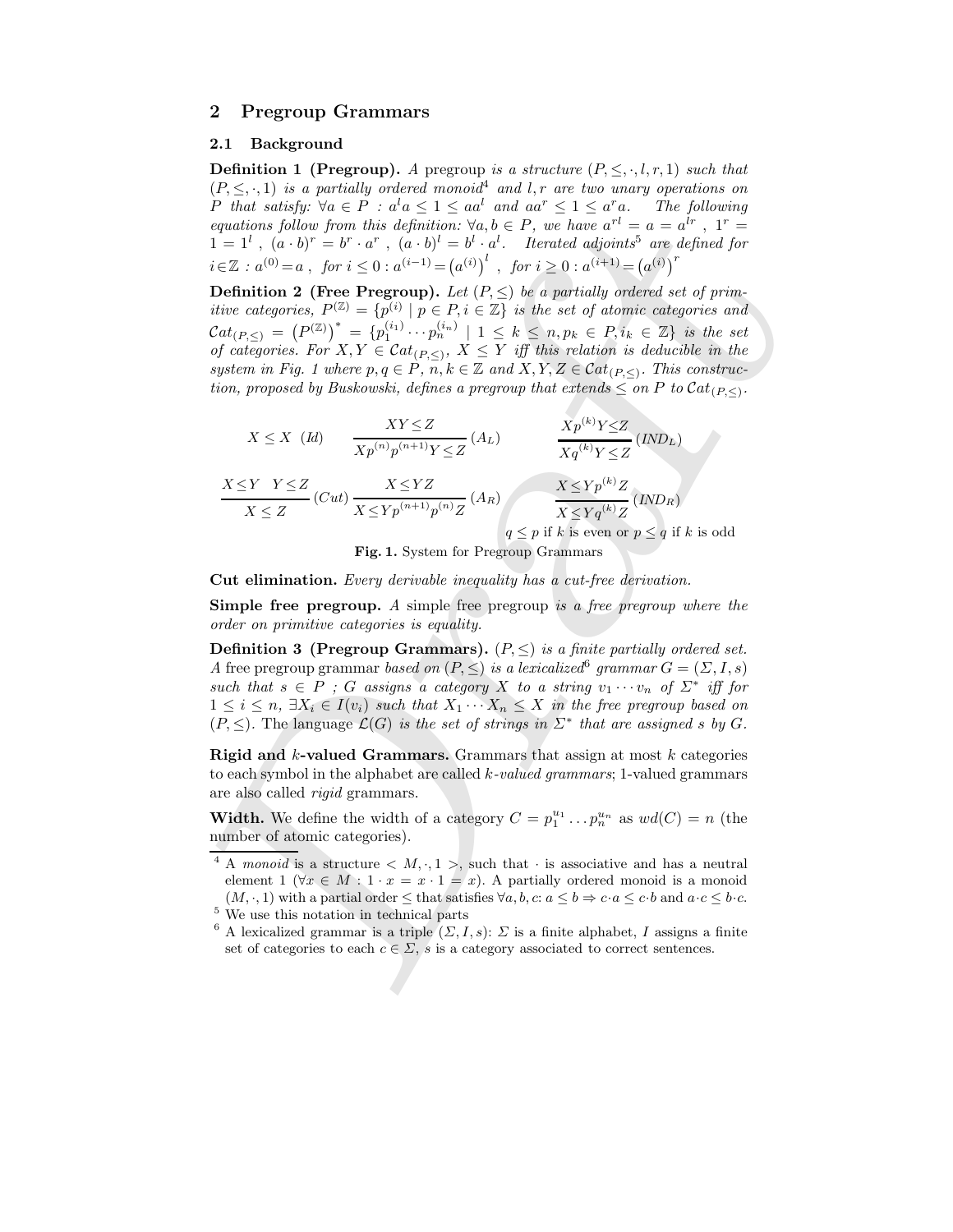# 2 Pregroup Grammars

# 2.1 Background

**Definition 1 (Pregroup).** A pregroup is a structure  $(P, \leq, \cdot, l, r, 1)$  such that  $(P, \leq, \cdot, 1)$  is a partially ordered monoid<sup>4</sup> and l, r are two unary operations on P that satisfy:  $\forall a \in P : a^l a \leq 1 \leq a a^l$  and  $a a^r \leq 1 \leq a^r a$ . The following equations follow from this definition:  $\forall a, b \in P$ , we have  $a^{rl} = a = a^{lr}$ ,  $1^r =$  $1 = 1^l$ ,  $(a \cdot b)^r = b^r \cdot a^r$ ,  $(a \cdot b)^l = b^l \cdot a^l$ . Iterated adjoints<sup>5</sup> are defined for  $i \in \mathbb{Z} : a^{(0)} = a$ , for  $i \leq 0 : a^{(i-1)} = (a^{(i)})^l$ , for  $i \geq 0 : a^{(i+1)} = (a^{(i)})^r$ 

**Definition 2** (Free Pregroup). Let  $(P, \leq)$  be a partially ordered set of primitive categories,  $P^{(\mathbb{Z})} = \{p^{(i)} \mid p \in P, i \in \mathbb{Z}\}\$  is the set of atomic categories and  $\mathcal{C}at_{(P,\leq)} = (P^{(\mathbb{Z})})^* = \{p_1^{(i_1)} \cdots p_n^{(i_n)} \mid 1 \leq k \leq n, p_k \in P, i_k \in \mathbb{Z}\}$  is the set of categories. For  $X, Y \in \mathcal{C}at_{(P, \leq)}$ ,  $X \leq Y$  iff this relation is deducible in the system in Fig. 1 where  $p, q \in P$ ,  $n, k \in \mathbb{Z}$  and  $X, Y, Z \in \mathcal{C}at_{(P, \leq)}$ . This construction, proposed by Buskowski, defines a pregroup that extends  $\leq$  on P to  $\mathcal{C}at_{(P,\leq)}$ .

*it* and *sasyy*: 
$$
x \in Y
$$
:  $\alpha$  is  $x \leq x \leq 3$  and  $\alpha \leq 1 \leq 1$ . Let *is is in in in in in in in in in in in in in in in in in in in in in in in in in in in in in in in in in in in in in in in in in in in in in in in in in in in in in in in in in in in in in in in in in in in in in in in in in in in in in in in in in in in in in in in in in in in in in in in in in in*

Fig. 1. System for Pregroup Grammars

Cut elimination. Every derivable inequality has a cut-free derivation.

Simple free pregroup. A simple free pregroup is a free pregroup where the order on primitive categories is equality.

**Definition 3 (Pregroup Grammars).**  $(P, \leq)$  is a finite partially ordered set. A free pregroup grammar based on  $(P, \leq)$  is a lexicalized grammar  $G = (\Sigma, I, s)$ such that  $s \in P$ ; G assigns a category X to a string  $v_1 \cdots v_n$  of  $\Sigma^*$  iff for  $1 \leq i \leq n$ ,  $\exists X_i \in I(v_i)$  such that  $X_1 \cdots X_n \leq X$  in the free pregroup based on  $(P, \leq)$ . The language  $\mathcal{L}(G)$  is the set of strings in  $\Sigma^*$  that are assigned s by G.

Rigid and  $k$ -valued Grammars. Grammars that assign at most  $k$  categories to each symbol in the alphabet are called  $k$ -valued grammars; 1-valued grammars are also called rigid grammars.

**Width.** We define the width of a category  $C = p_1^{u_1} \dots p_n^{u_n}$  as  $wd(C) = n$  (the number of atomic categories).

<sup>&</sup>lt;sup>4</sup> A monoid is a structure  $\langle M, \cdot, 1 \rangle$ , such that  $\cdot$  is associative and has a neutral element 1 ( $\forall x \in M : 1 \cdot x = x \cdot 1 = x$ ). A partially ordered monoid is a monoid  $(M, \cdot, 1)$  with a partial order  $\leq$  that satisfies  $\forall a, b, c: a \leq b \Rightarrow c \cdot a \leq c \cdot b$  and  $a \cdot c \leq b \cdot c$ . <sup>5</sup> We use this notation in technical parts

<sup>&</sup>lt;sup>6</sup> A lexicalized grammar is a triple  $(\Sigma, I, s)$ :  $\Sigma$  is a finite alphabet, I assigns a finite set of categories to each  $c \in \Sigma$ , s is a category associated to correct sentences.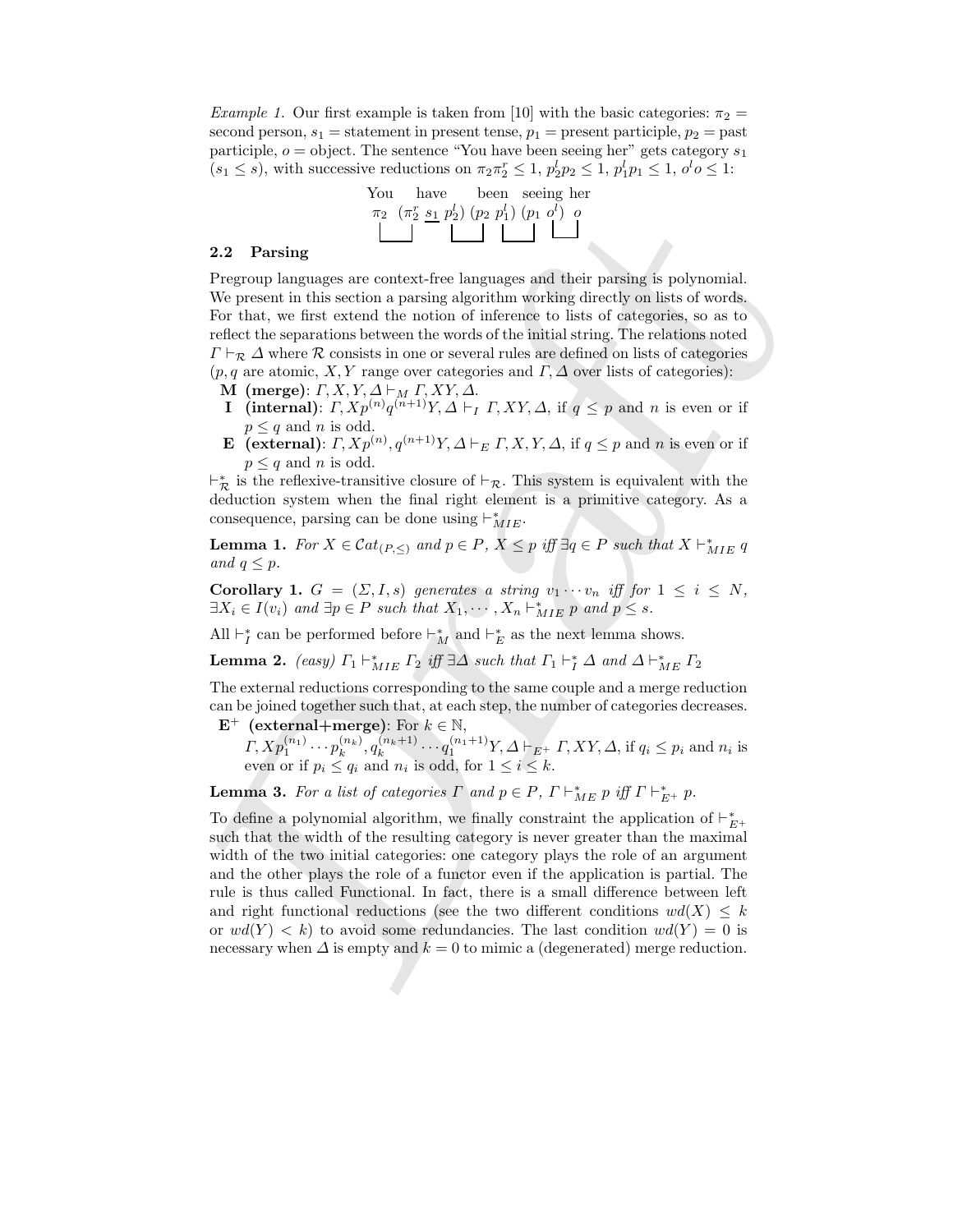*Example 1.* Our first example is taken from [10] with the basic categories:  $\pi_2$  = second person,  $s_1$  = statement in present tense,  $p_1$  = present participle,  $p_2$  = past participle,  $o =$  object. The sentence "You have been seeing her" gets category  $s_1$  $(s_1 \leq s)$ , with successive reductions on  $\pi_2 \pi_2^r \leq 1$ ,  $p_2^l p_2 \leq 1$ ,  $p_1^l p_1 \leq 1$ ,  $o^l o \leq 1$ :

| You |                                                             | have |  |  | been seeing her |  |
|-----|-------------------------------------------------------------|------|--|--|-----------------|--|
|     | $\pi_2$ $(\pi_2^r s_1 p_2^l)$ $(p_2 p_1^l)$ $(p_1 o^l)$ $o$ |      |  |  |                 |  |
|     |                                                             |      |  |  |                 |  |

#### 2.2 Parsing

Pregroup languages are context-free languages and their parsing is polynomial. We present in this section a parsing algorithm working directly on lists of words. For that, we first extend the notion of inference to lists of categories, so as to reflect the separations between the words of the initial string. The relations noted  $\Gamma \vdash_{\mathcal{R}} \Delta$  where  $\mathcal R$  consists in one or several rules are defined on lists of categories  $(p, q$  are atomic, X, Y range over categories and  $\Gamma$ ,  $\Delta$  over lists of categories): M (merge):  $\Gamma$ ,  $X$ ,  $Y$ ,  $\Delta \vdash_M \Gamma$ ,  $XY$ ,  $\Delta$ .

- **I** (internal):  $\Gamma$ ,  $Xp^{(n)}q^{(n+1)}Y$ ,  $\Delta \vdash_I \Gamma$ ,  $XY$ ,  $\Delta$ , if  $q \leq p$  and n is even or if  $p \leq q$  and n is odd.
- **E** (external):  $\Gamma$ ,  $Xp^{(n)}$ ,  $q^{(n+1)}Y$ ,  $\Delta \vdash_E \Gamma$ ,  $X$ ,  $Y$ ,  $\Delta$ , if  $q \leq p$  and n is even or if  $p \leq q$  and n is odd.

 $\vdash_{\mathcal{R}}^*$  is the reflexive-transitive closure of  $\vdash_{\mathcal{R}}$ . This system is equivalent with the deduction system when the final right element is a primitive category. As a consequence, parsing can be done using  $\vdash^*_{MIE}$ .

**Lemma 1.** For  $X \in \mathcal{C}at_{(P,\leq)}$  and  $p \in P$ ,  $X \leq p$  iff  $\exists q \in P$  such that  $X \vdash_{MIE}^* q$ and  $q \leq p$ .

Corollary 1.  $G = (\Sigma, I, s)$  generates a string  $v_1 \cdots v_n$  iff for  $1 \leq i \leq N$ ,  $\exists X_i \in I(v_i)$  and  $\exists p \in P$  such that  $X_1, \dots, X_n \vdash_{MIE}^* p$  and  $p \leq s$ .

All  $\vdash_I^*$  can be performed before  $\vdash_M^*$  and  $\vdash_E^*$  as the next lemma shows.

**Lemma 2.** (easy)  $\Gamma_1 \vdash^*_{MIE} \Gamma_2$  iff  $\exists \Delta$  such that  $\Gamma_1 \vdash^*_{I} \Delta$  and  $\Delta \vdash^*_{ME} \Gamma_2$ 

The external reductions corresponding to the same couple and a merge reduction can be joined together such that, at each step, the number of categories decreases.  $\mathbf{E}^+$  (external+merge): For  $k \in \mathbb{N}$ ,

 $\Gamma, X p_1^{(n_1)} \cdots p_k^{(n_k)}$  $\binom{n_k}{k}, q_k^{(n_k+1)}$  $\kappa_k^{(n_k+1)} \cdots q_1^{(n_1+1)} Y, \Delta \vdash_{E^+} \Gamma, XY, \Delta$ , if  $q_i \leq p_i$  and  $n_i$  is even or if  $p_i \leq q_i$  and  $n_i$  is odd, for  $1 \leq i \leq k$ .

**Lemma 3.** For a list of categories  $\Gamma$  and  $p \in P$ ,  $\Gamma \vdash_{ME}^* p$  iff  $\Gamma \vdash_{E^+}^* p$ .

2. **Parising**<br>
2. **Parising**<br>
2.  $\left(\frac{\pi_2}{2} \sum_{i=1}^{\infty} \frac{\pi_i}{2} \sum_{j=1}^{\infty} \frac{\pi_j}{2} \sum_{j=1}^{\infty} \frac{\pi_j}{2} \sum_{j=1}^{\infty} \frac{\pi_j}{2} \sum_{j=1}^{\infty} \frac{\pi_j}{2} \sum_{j=1}^{\infty} \frac{\pi_j}{2} \sum_{j=1}^{\infty} \frac{\pi_j}{2} \sum_{j=1}^{\infty} \frac{\pi_j}{2} \sum_{j=1}^{\infty} \frac{\pi$ To define a polynomial algorithm, we finally constraint the application of  $\vdash^*_{E^+}$ such that the width of the resulting category is never greater than the maximal width of the two initial categories: one category plays the role of an argument and the other plays the role of a functor even if the application is partial. The rule is thus called Functional. In fact, there is a small difference between left and right functional reductions (see the two different conditions  $wd(X) \leq k$ or  $wd(Y) < k$  to avoid some redundancies. The last condition  $wd(Y) = 0$  is necessary when  $\Delta$  is empty and  $k = 0$  to mimic a (degenerated) merge reduction.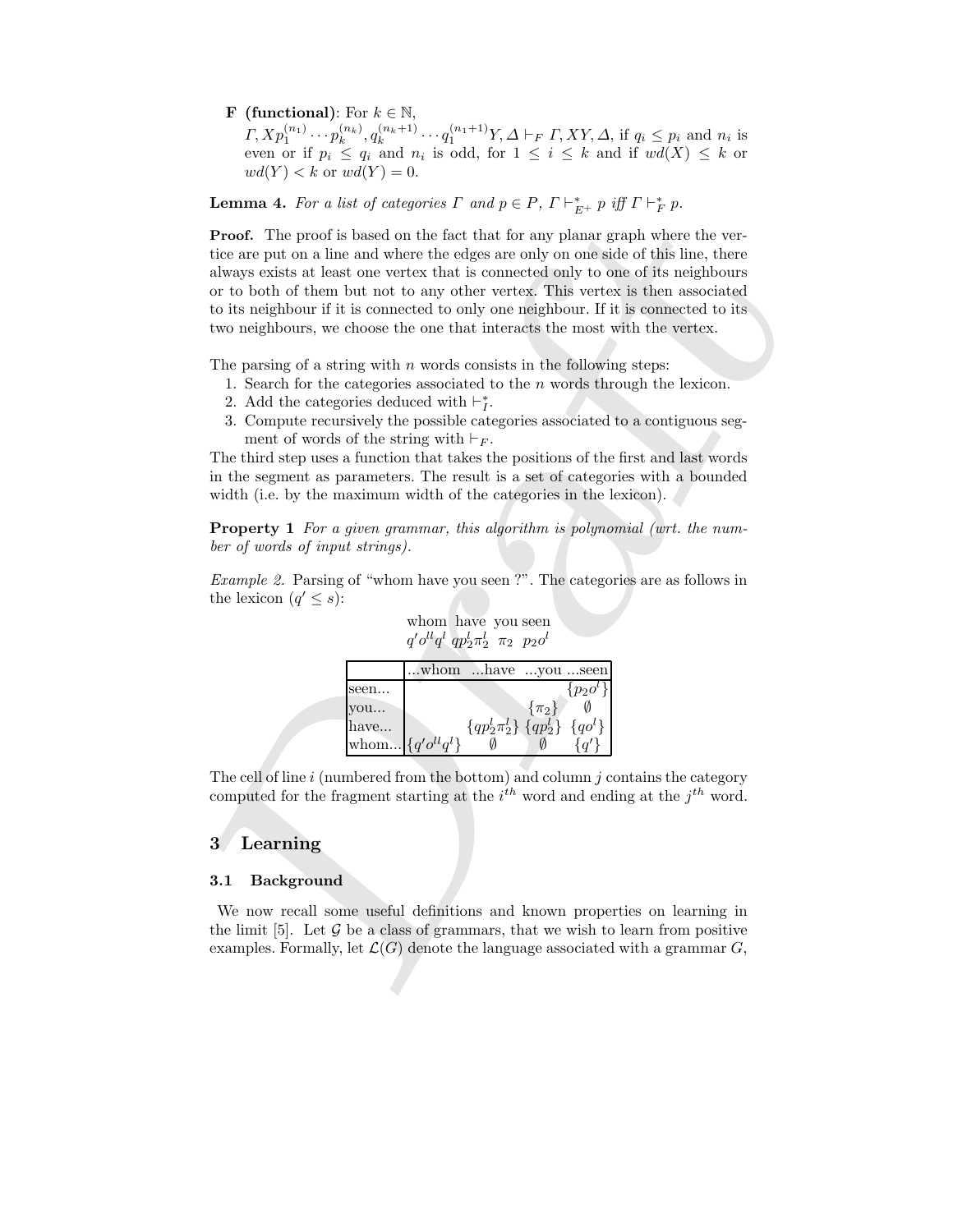**F** (functional): For  $k \in \mathbb{N}$ ,

 $\Gamma, X p_1^{(n_1)} \cdots p_k^{(n_k)}$  $\binom{n_k}{k}, q_k^{(n_k+1)}$  $k_k^{(n_k+1)} \cdots q_1^{(n_1+1)} Y, \Delta \vdash_F \Gamma, XY, \Delta$ , if  $q_i \leq p_i$  and  $n_i$  is even or if  $p_i \leq q_i$  and  $n_i$  is odd, for  $1 \leq i \leq k$  and if  $wd(X) \leq k$  or  $wd(Y) < k$  or  $wd(Y) = 0$ .

**Lemma 4.** For a list of categories  $\Gamma$  and  $p \in P$ ,  $\Gamma \vdash_{E^+}^* p$  iff  $\Gamma \vdash_F^* p$ .

**Proof.** The proof is based on the fact that for any planar graph where the vertice are put on a line and where the edges are only on one side of this line, there always exists at least one vertex that is connected only t Proof. The proof is based on the fact that for any planar graph where the vertice are put on a line and where the edges are only on one side of this line, there always exists at least one vertex that is connected only to one of its neighbours or to both of them but not to any other vertex. This vertex is then associated to its neighbour if it is connected to only one neighbour. If it is connected to its two neighbours, we choose the one that interacts the most with the vertex.

The parsing of a string with  $n$  words consists in the following steps:

- 1. Search for the categories associated to the  $n$  words through the lexicon.
- 2. Add the categories deduced with  $\vdash_I^*$ .
- 3. Compute recursively the possible categories associated to a contiguous segment of words of the string with  $\vdash_F$ .

The third step uses a function that takes the positions of the first and last words in the segment as parameters. The result is a set of categories with a bounded width (i.e. by the maximum width of the categories in the lexicon).

Property 1 For a given grammar, this algorithm is polynomial (wrt. the number of words of input strings).

Example 2. Parsing of "whom have you seen ?". The categories are as follows in the lexicon  $(q' \leq s)$ :

|                        | $q \circ q \circ q \circ q$ |                                        |             |                  |
|------------------------|-----------------------------|----------------------------------------|-------------|------------------|
|                        | whom have you seen          |                                        |             |                  |
| seen                   |                             |                                        |             | $\{p_2o^{\iota}$ |
| you                    |                             |                                        | $\{\pi_2\}$ |                  |
| have                   |                             | $\{qp_2^l\pi_2^l\}\{qp_2^l\}\{qo^l\}\$ |             |                  |
| whom $\{q'o^{ll}q^l\}$ |                             |                                        |             |                  |



The cell of line  $i$  (numbered from the bottom) and column  $j$  contains the category computed for the fragment starting at the  $i^{th}$  word and ending at the  $j^{th}$  word.

## 3 Learning

#### 3.1 Background

We now recall some useful definitions and known properties on learning in the limit [5]. Let  $\mathcal G$  be a class of grammars, that we wish to learn from positive examples. Formally, let  $\mathcal{L}(G)$  denote the language associated with a grammar G,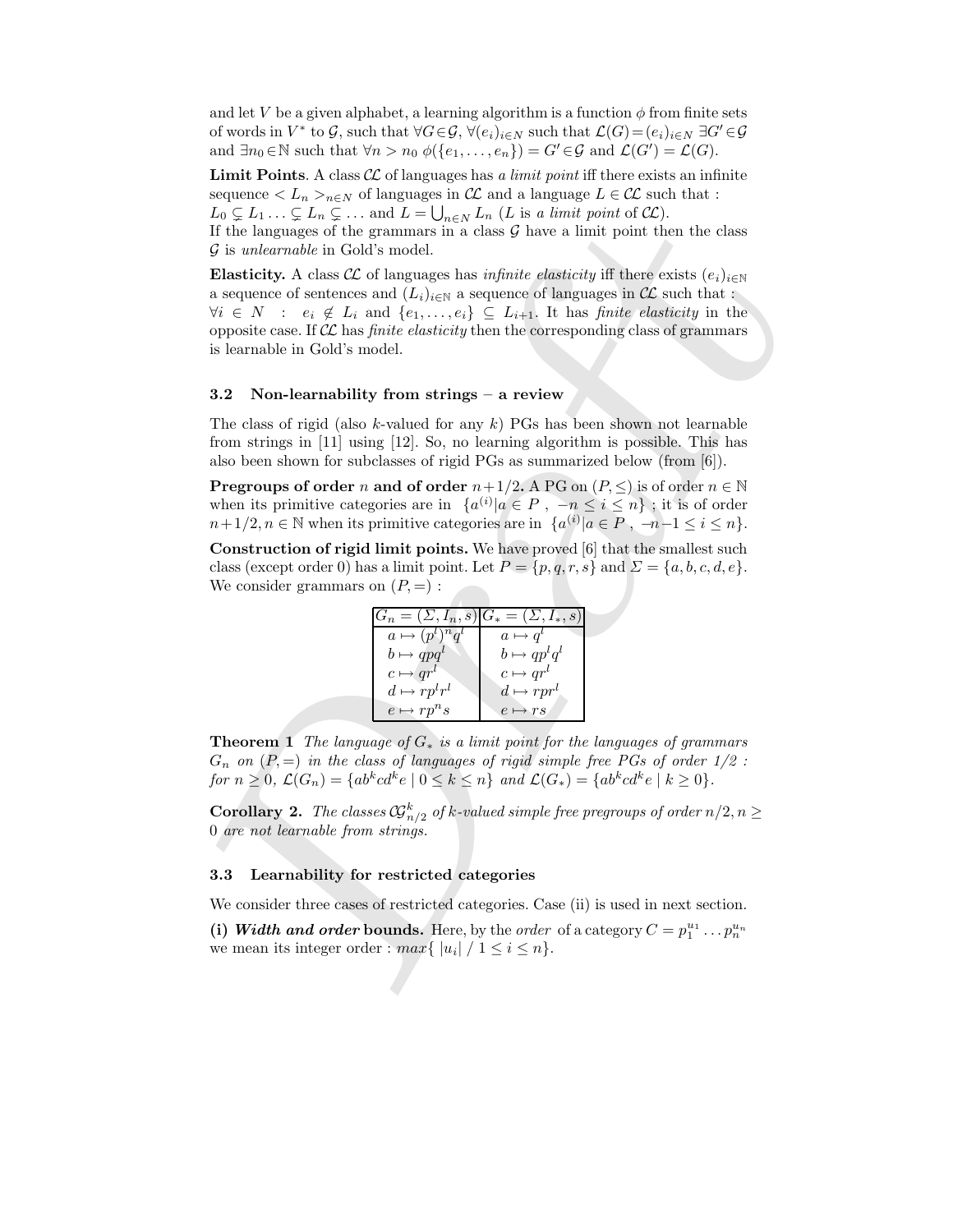and let V be a given alphabet, a learning algorithm is a function  $\phi$  from finite sets of words in  $V^*$  to  $\mathcal{G}$ , such that  $\forall G \in \mathcal{G}$ ,  $\forall (e_i)_{i \in N}$  such that  $\mathcal{L}(G) = (e_i)_{i \in N} \exists G' \in \mathcal{G}$ and  $\exists n_0 \in \mathbb{N}$  such that  $\forall n > n_0$   $\phi(\{e_1, \ldots, e_n\}) = G' \in \mathcal{G}$  and  $\mathcal{L}(G') = \mathcal{L}(G)$ .

**Limit Points.** A class  $\mathcal{CL}$  of languages has a *limit point* iff there exists an infinite sequence  $\langle L_n \rangle_{n \in \mathbb{N}}$  of languages in  $\mathcal{CL}$  and a language  $L \in \mathcal{CL}$  such that :  $L_0 \subsetneq L_1 \ldots \subsetneq L_n \subsetneq \ldots$  and  $L = \bigcup_{n \in N} L_n$  (*L* is a limit point of  $CL$ ).

If the languages of the grammars in a class  $G$  have a limit point then the class  $G$  is *unlearnable* in Gold's model.

Let  $\therefore L_2 L_3 \leq \frac{L_1}{2}$ .... In the  $L = \bigcup_{n \in N} L_n$  (Let is a form yout of U2.)<br>If the languages of the grammars in a class G have a limit point then the class<br>Elementary of the grammars in a class G have a limit point Elasticity. A class  $\mathcal{CL}$  of languages has *infinite elasticity* iff there exists  $(e_i)_{i\in\mathbb{N}}$ a sequence of sentences and  $(L_i)_{i\in\mathbb{N}}$  a sequence of languages in  $\mathcal{CL}$  such that :  $\forall i \in N$  :  $e_i \notin L_i$  and  $\{e_1, \ldots, e_i\} \subseteq L_{i+1}$ . It has finite elasticity in the opposite case. If  $\mathcal{CL}$  has *finite elasticity* then the corresponding class of grammars is learnable in Gold's model.

# 3.2 Non-learnability from strings – a review

The class of rigid (also  $k$ -valued for any  $k$ ) PGs has been shown not learnable from strings in [11] using [12]. So, no learning algorithm is possible. This has also been shown for subclasses of rigid PGs as summarized below (from [6]).

**Pregroups of order** n and of order  $n+1/2$ . A PG on  $(P, \leq)$  is of order  $n \in \mathbb{N}$ when its primitive categories are in  ${a^{(i)} | a \in P}$ ,  $-n \le i \le n}$ ; it is of order  $n+1/2, n \in \mathbb{N}$  when its primitive categories are in  $\{a^{(i)} | a \in P, -n-1 \le i \le n\}.$ 

Construction of rigid limit points. We have proved [6] that the smallest such class (except order 0) has a limit point. Let  $P = \{p, q, r, s\}$  and  $\Sigma = \{a, b, c, d, e\}.$ We consider grammars on  $(P, =)$ :

| $G_n = (\Sigma, I_n, s)   G_* = (\Sigma, I_*, s)$ |                      |  |
|---------------------------------------------------|----------------------|--|
| $a \mapsto (p^i)^n q^i$                           | $a \mapsto q^e$      |  |
| $b \mapsto qpq^t$                                 | $b \mapsto qp^l q^l$ |  |
| $c \mapsto qr^l$                                  | $c \mapsto qr^l$     |  |
| $d \mapsto r p^l r^l$                             | $d \mapsto rpr^l$    |  |
| $e \mapsto rp^n s$                                | $e \mapsto rs$       |  |

**Theorem 1** The language of  $G_*$  is a limit point for the languages of grammars  $G_n$  on  $(P, =)$  in the class of languages of rigid simple free PGs of order  $1/2$ : for  $n \geq 0$ ,  $\mathcal{L}(G_n) = \{ab^kcd^ke \mid 0 \leq k \leq n\}$  and  $\mathcal{L}(G_\ast) = \{ab^kcd^ke \mid k \geq 0\}.$ 

**Corollary 2.** The classes  $\mathcal{G}_{n/2}^k$  of k-valued simple free pregroups of order  $n/2, n \geq 1$ 0 are not learnable from strings.

#### 3.3 Learnability for restricted categories

We consider three cases of restricted categories. Case (ii) is used in next section.

(i) *Width and order* bounds. Here, by the *order* of a category  $C = p_1^{u_1} \dots p_n^{u_n}$ we mean its integer order :  $max\{|u_i| / 1 \le i \le n\}.$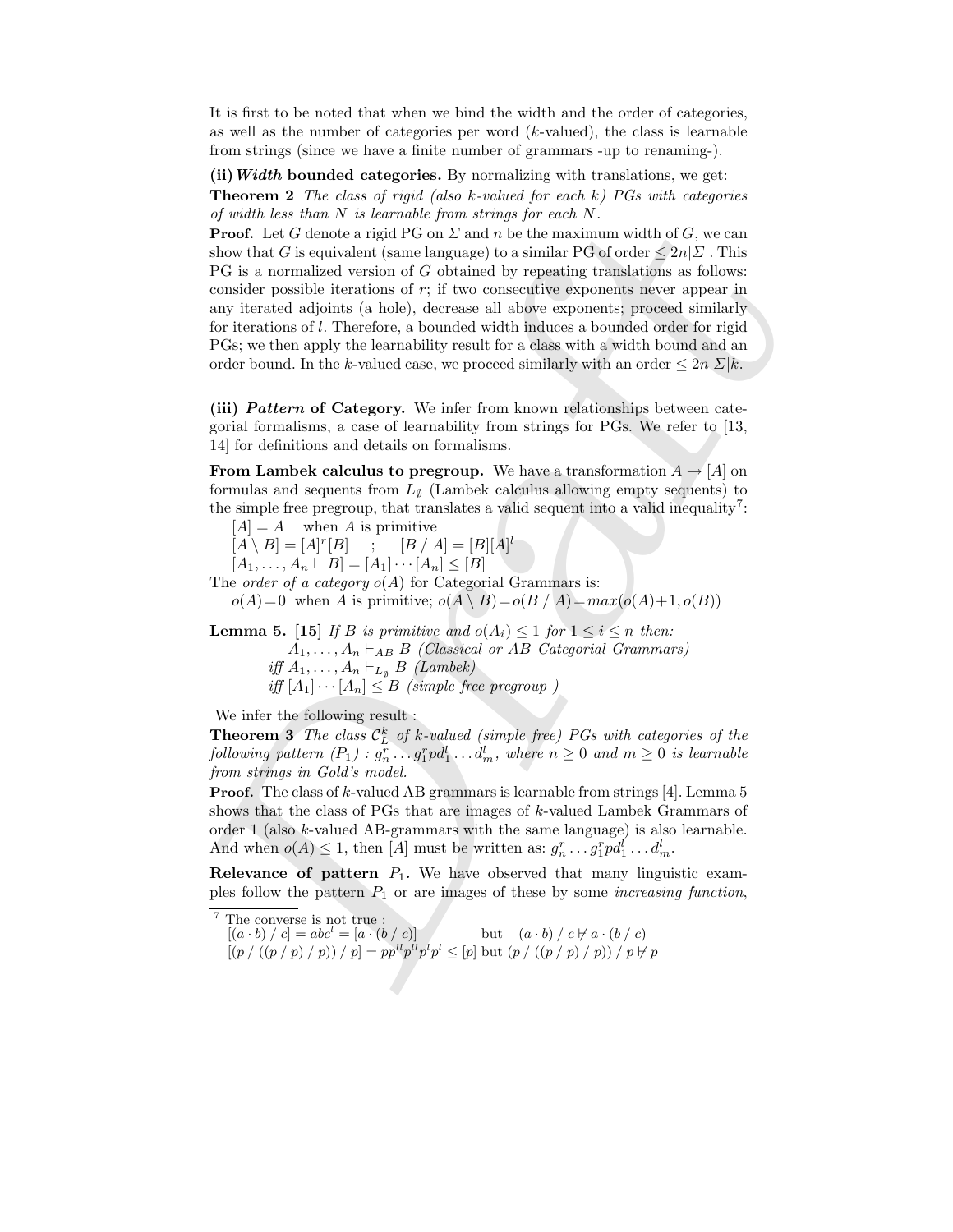It is first to be noted that when we bind the width and the order of categories, as well as the number of categories per word (k-valued), the class is learnable from strings (since we have a finite number of grammars -up to renaming-).

(ii)  $Width$  bounded categories. By normalizing with translations, we get: **Theorem 2** The class of rigid (also k-valued for each  $k$ ) PGs with categories of width less than N is learnable from strings for each N.

of violations than the increasion from strings por each N.<br>Proof. Let G denote a rigid PG on X and so be the maximum width of G, we can<br>Proof. Let G denote a rigid PG on X and so be the maximum width of G, we can<br>low that **Proof.** Let G denote a rigid PG on  $\Sigma$  and n be the maximum width of G, we can show that G is equivalent (same language) to a similar PG of order  $\leq 2n|\mathcal{L}|$ . This PG is a normalized version of G obtained by repeating translations as follows: consider possible iterations of r; if two consecutive exponents never appear in any iterated adjoints (a hole), decrease all above exponents; proceed similarly for iterations of l. Therefore, a bounded width induces a bounded order for rigid PGs; we then apply the learnability result for a class with a width bound and an order bound. In the k-valued case, we proceed similarly with an order  $\leq 2n|\Sigma|k$ .

(iii) *Pattern* of Category. We infer from known relationships between categorial formalisms, a case of learnability from strings for PGs. We refer to [13, 14] for definitions and details on formalisms.

**From Lambek calculus to pregroup.** We have a transformation  $A \rightarrow [A]$  on formulas and sequents from  $L_{\emptyset}$  (Lambek calculus allowing empty sequents) to the simple free pregroup, that translates a valid sequent into a valid inequality<sup>7</sup>:

 $[A] = A$  when A is primitive

 $[A \setminus B] = [A]^r[B]$  ;  $[B / A] = [B][A]^l$ 

 $[A_1, \ldots, A_n \vdash B] = [A_1] \cdots [A_n] \leq [B]$ 

The *order of a category*  $o(A)$  for Categorial Grammars is:

 $o(A)=0$  when A is primitive;  $o(A \setminus B)=o(B \mid A)=max(o(A)+1, o(B))$ 

**Lemma 5.** [15] If B is primitive and  $o(A_i) \leq 1$  for  $1 \leq i \leq n$  then:

 $A_1, \ldots, A_n \vdash_{AB} B$  (Classical or AB Categorial Grammars)

iff  $A_1, \ldots, A_n \vdash_{L_{\emptyset}} B$  (Lambek)

iff  $[A_1] \cdots [A_n] \leq B$  (simple free pregroup)

We infer the following result :

**Theorem 3** The class  $\mathcal{C}_L^k$  of k-valued (simple free) PGs with categories of the following pattern  $(P_1)$ :  $g_n^r \ldots g_1^r p d_1^l \ldots d_m^l$ , where  $n \geq 0$  and  $m \geq 0$  is learnable from strings in Gold's model.

**Proof.** The class of k-valued AB grammars is learnable from strings [4]. Lemma 5 shows that the class of PGs that are images of k-valued Lambek Grammars of order 1 (also k-valued AB-grammars with the same language) is also learnable. And when  $o(A) \leq 1$ , then [A] must be written as:  $g_n^r \dots g_1^r p d_1^l \dots d_m^l$ .

Relevance of pattern  $P_1$ . We have observed that many linguistic examples follow the pattern  $P_1$  or are images of these by some *increasing function*,

- $[(a \cdot b) / c] = abc^l = [a \cdot (b / c)]$  but  $(a \cdot b) / c \not\vdash a \cdot (b / c)$
- $[(p / ((p / p) / p)) / p] = pp^{ll} p^{il} p^{l} p^{l} \leq [p]$  but  $(p / ((p / p) / p)) / p \not\vdash p$

The converse is not true :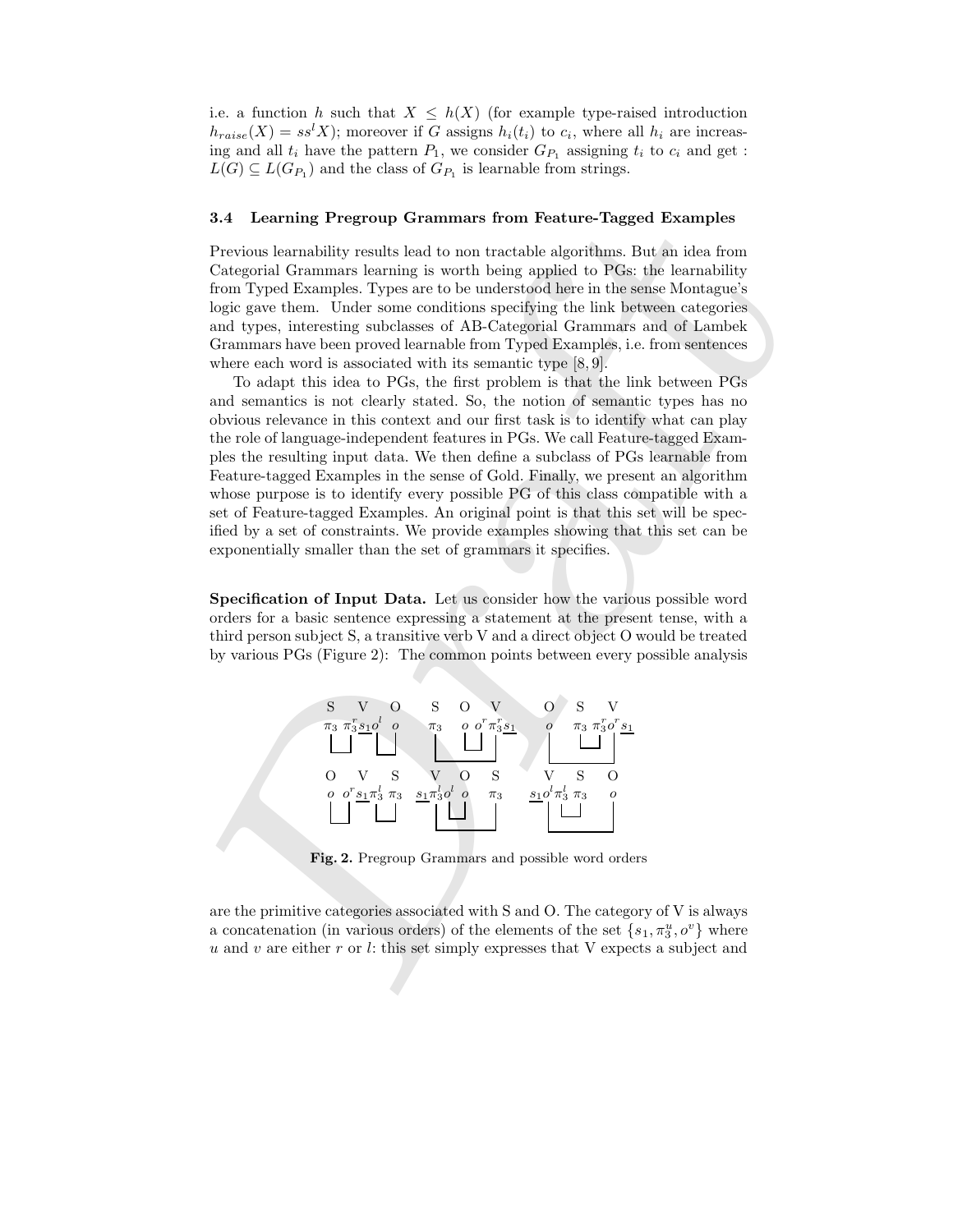i.e. a function h such that  $X \leq h(X)$  (for example type-raised introduction  $h_{raise}(X) = ss^l X$ ; moreover if G assigns  $h_i(t_i)$  to  $c_i$ , where all  $h_i$  are increasing and all  $t_i$  have the pattern  $P_1$ , we consider  $G_{P_1}$  assigning  $t_i$  to  $c_i$  and get :  $L(G) \subseteq L(G_{P_1})$  and the class of  $G_{P_1}$  is learnable from strings.

#### 3.4 Learning Pregroup Grammars from Feature-Tagged Examples

Previous learnability results lead to non tractable algorithms. But an idea from Categorial Grammars learning is worth being applied to PGs: the learnability from Typed Examples. Types are to be understood here in the sense Montague's logic gave them. Under some conditions specifying the link between categories and types, interesting subclasses of AB-Categorial Grammars and of Lambek Grammars have been proved learnable from Typed Examples, i.e. from sentences where each word is associated with its semantic type  $[8, 9]$ .

**3.4** Learning Progroup Grammars from Feature-Tugged Examples<br>
Provins learning its want hat the base of the side in the state of the side of contexts learning channing is worth baing applied to PGs. the location<br>
Totagor To adapt this idea to PGs, the first problem is that the link between PGs and semantics is not clearly stated. So, the notion of semantic types has no obvious relevance in this context and our first task is to identify what can play the role of language-independent features in PGs. We call Feature-tagged Examples the resulting input data. We then define a subclass of PGs learnable from Feature-tagged Examples in the sense of Gold. Finally, we present an algorithm whose purpose is to identify every possible PG of this class compatible with a set of Feature-tagged Examples. An original point is that this set will be specified by a set of constraints. We provide examples showing that this set can be exponentially smaller than the set of grammars it specifies.

Specification of Input Data. Let us consider how the various possible word orders for a basic sentence expressing a statement at the present tense, with a third person subject S, a transitive verb V and a direct object O would be treated by various PGs (Figure 2): The common points between every possible analysis



Fig. 2. Pregroup Grammars and possible word orders

are the primitive categories associated with S and O. The category of V is always a concatenation (in various orders) of the elements of the set  $\{s_1, \pi_3^u, o^v\}$  where u and v are either r or  $l$ : this set simply expresses that V expects a subject and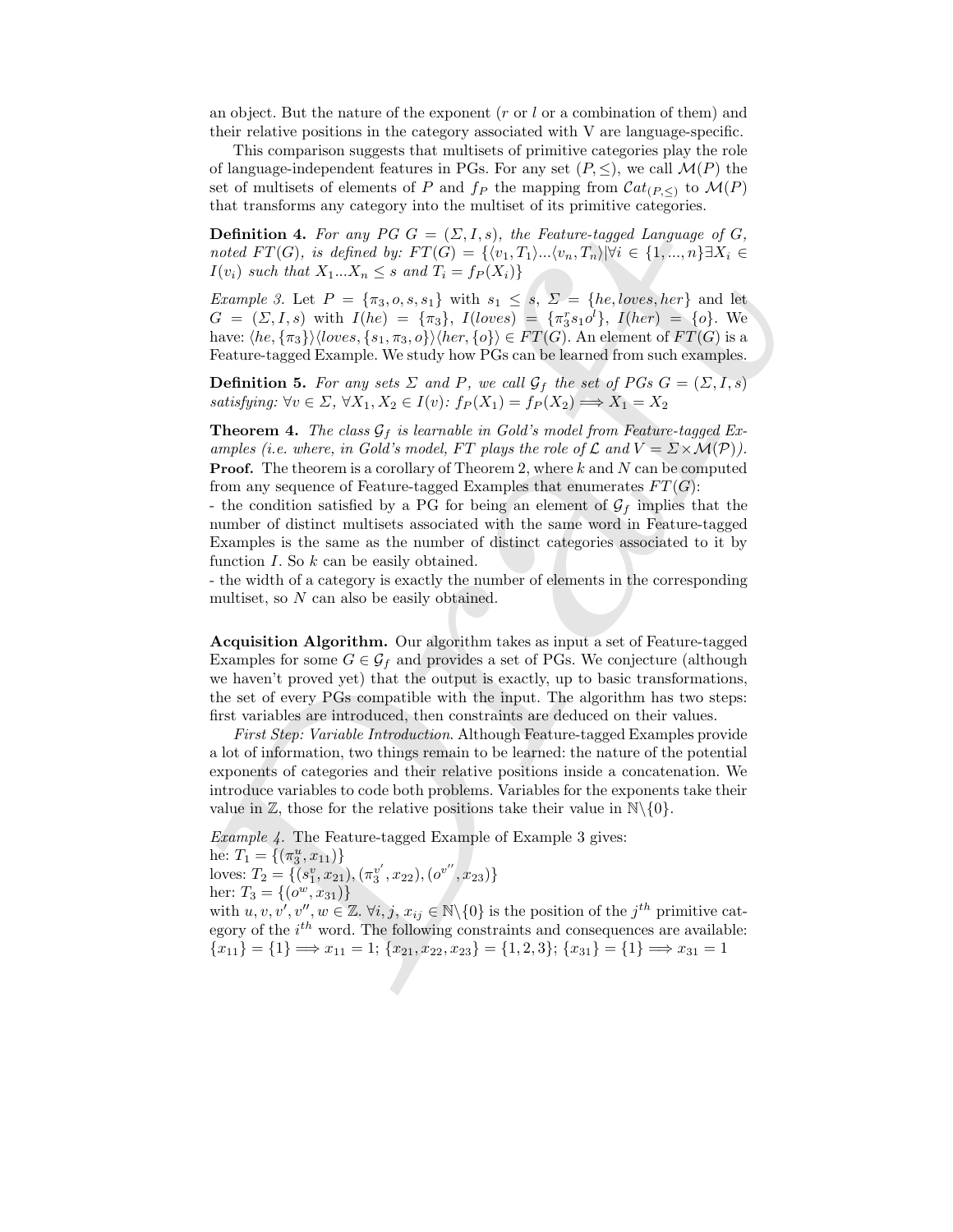an object. But the nature of the exponent  $(r \text{ or } l \text{ or a combination of them})$  and their relative positions in the category associated with V are language-specific.

This comparison suggests that multisets of primitive categories play the role of language-independent features in PGs. For any set  $(P, \leq)$ , we call  $\mathcal{M}(P)$  the set of multisets of elements of P and  $f_P$  the mapping from  $\mathcal{C}at_{(P,\leq)}$  to  $\mathcal{M}(P)$ that transforms any category into the multiset of its primitive categories.

**Definition 4.** For any PG  $G = (\Sigma, I, s)$ , the Feature-tagged Language of G, noted  $FT(G)$ , is defined by:  $FT(G) = \{ \langle v_1, T_1 \rangle ... \langle v_n, T_n \rangle | \forall i \in \{1, ..., n\} \exists X_i \in$  $I(v_i)$  such that  $X_1...X_n \leq s$  and  $T_i = f_P(X_i)$ 

Example 3. Let  $P = {\pi_3, o, s, s_1}$  with  $s_1 \leq s$ ,  $\Sigma = {he, loves, her}$  and let  $G = (\Sigma, I, s)$  with  $I(he) = {\pi_3}, I(loves) = {\pi_3 \cdot s_1} \circ^l, I(her) = \{o\}.$  We have:  $\langle he, {\{\pi_3\}} \rangle \langle loves, {\{s_1, \pi_3, o\}} \rangle \langle her, {\{o\}} \rangle \in FT(G)$ . An element of  $FT(G)$  is a Feature-tagged Example. We study how PGs can be learned from such examples.

**Definition 5.** For any sets  $\Sigma$  and P, we call  $\mathcal{G}_f$  the set of PGs  $G = (\Sigma, I, s)$ satisfying:  $\forall v \in \Sigma$ ,  $\forall X_1, X_2 \in I(v)$ :  $f_P(X_1) = f_P(X_2) \Longrightarrow X_1 = X_2$ 

**Theorem 4.** The class  $\mathcal{G}_f$  is learnable in Gold's model from Feature-tagged Examples (i.e. where, in Gold's model, FT plays the role of  $\mathcal L$  and  $V = \Sigma \times \mathcal M(\mathcal P)$ ). **Proof.** The theorem is a corollary of Theorem 2, where  $k$  and  $N$  can be computed from any sequence of Feature-tagged Examples that enumerates  $FT(G)$ :

- the condition satisfied by a PG for being an element of  $\mathcal{G}_f$  implies that the number of distinct multisets associated with the same word in Feature-tagged Examples is the same as the number of distinct categories associated to it by function  $I.$  So  $k$  can be easily obtained.

- the width of a category is exactly the number of elements in the corresponding multiset, so  $N$  can also be easily obtained.

**Definition** 4. For any PG  $G = (S, I, s)$ , the Patters-lagged Language of G.<br>
The interfer  $P(G)$ , is defined by  $P(T(G) = \{S_1, I, s\})$ , the Patters-lagged Language of G.<br>  $I(v)$  such that  $X_1, X_6 \leq s$  and  $T_1 = [v_1, T_1]$ ,  $\therefore (v$ Acquisition Algorithm. Our algorithm takes as input a set of Feature-tagged Examples for some  $G \in \mathcal{G}_f$  and provides a set of PGs. We conjecture (although we haven't proved yet) that the output is exactly, up to basic transformations, the set of every PGs compatible with the input. The algorithm has two steps: first variables are introduced, then constraints are deduced on their values.

First Step: Variable Introduction. Although Feature-tagged Examples provide a lot of information, two things remain to be learned: the nature of the potential exponents of categories and their relative positions inside a concatenation. We introduce variables to code both problems. Variables for the exponents take their value in  $\mathbb{Z}$ , those for the relative positions take their value in  $\mathbb{N}\setminus\{0\}$ .

Example 4. The Feature-tagged Example of Example 3 gives: he:  $T_1 = \{(\pi_3^u, x_{11})\}$ loves:  $T_2 = \{(s_1^v, x_{21}), (\pi_3^{v'}\)}$  $x_3^{v'}, x_{22}), (o^{v''}, x_{23})\}$ her:  $T_3 = \{(o^w, x_{31})\}$ 

with  $u, v, v', v'', w \in \mathbb{Z}$ .  $\forall i, j, x_{ij} \in \mathbb{N} \setminus \{0\}$  is the position of the  $j<sup>th</sup>$  primitive category of the  $i^{th}$  word. The following constraints and consequences are available:  ${x}_{11} = \{1\} \Longrightarrow x_{11} = 1; {x}_{21}, x_{22}, x_{23} = \{1, 2, 3\}; {x}_{31} = \{1\} \Longrightarrow x_{31} = 1$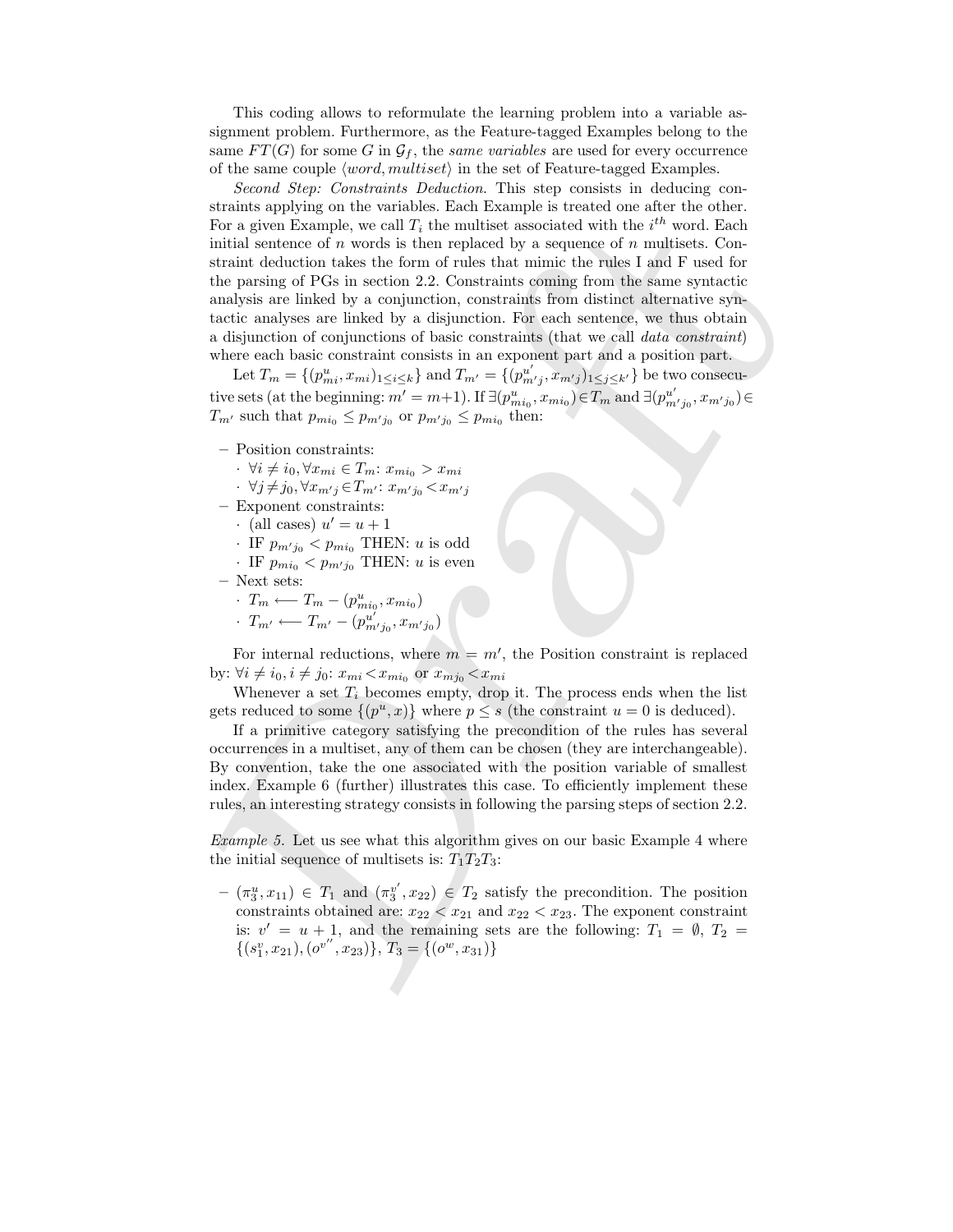This coding allows to reformulate the learning problem into a variable assignment problem. Furthermore, as the Feature-tagged Examples belong to the same  $FT(G)$  for some G in  $\mathcal{G}_f$ , the same variables are used for every occurrence of the same couple  $\langle word, multiset \rangle$  in the set of Feature-tagged Examples.

strategy<br>angulary control wealth is the multisted seconded with the 40-vord Bach<br>from a given Example, we call it the multisted seconded with the 40-vord.<br>Bach from a given Example we call it the multisted seconded with t Second Step: Constraints Deduction. This step consists in deducing constraints applying on the variables. Each Example is treated one after the other. For a given Example, we call  $T_i$  the multiset associated with the  $i^{th}$  word. Each initial sentence of  $n$  words is then replaced by a sequence of  $n$  multisets. Constraint deduction takes the form of rules that mimic the rules I and F used for the parsing of PGs in section 2.2. Constraints coming from the same syntactic analysis are linked by a conjunction, constraints from distinct alternative syntactic analyses are linked by a disjunction. For each sentence, we thus obtain a disjunction of conjunctions of basic constraints (that we call data constraint) where each basic constraint consists in an exponent part and a position part.

Let  $T_m = \{(p_{mi}^u, x_{mi})_{1 \leq i \leq k}\}$  and  $T_{m'} = \{(p_{m'j}^{u'}, x_{m'j})_{1 \leq j \leq k'}\}$  be two consecutive sets (at the beginning:  $m' = m+1$ ). If  $\exists (p_{mi_0}^u, x_{mi_0}) \in T_m$  and  $\exists (p_{m'j_0}^{u'}, x_{m'j_0}) \in$  $T_{m'}$  such that  $p_{mi_0} \leq p_{m'j_0}$  or  $p_{m'j_0} \leq p_{mi_0}$  then:

- Position constraints:
	- $\cdot \ \forall i \neq i_0, \forall x_{mi} \in T_m: x_{mi_0} > x_{mi}$
	- $\cdot \forall j \neq j_0, \forall x_{m'j} \in T_{m'}: x_{m'j_0} \leq x_{m'j_0}$
- Exponent constraints:
	- · (all cases)  $u' = u + 1$
	- · IF  $p_{m'j_0} < p_{mi_0}$  THEN: u is odd
	- · IF  $p_{mi_0} < p_{m'j_0}$  THEN: *u* is even
- Next sets:
	- $\cdot$  T<sub>m</sub> ← T<sub>m</sub> − ( $p_{mi_0}^u, x_{mi_0}$ )
	- $\cdot T_{m'} \longleftarrow T_{m'} (p_{m'j_0}^{u'}, x_{m'j_0})$

For internal reductions, where  $m = m'$ , the Position constraint is replaced by:  $\forall i \neq i_0, i \neq j_0: x_{mi} \lt x_{mi_0}$  or  $x_{mj_0} \lt x_{mi}$ 

Whenever a set  $T_i$  becomes empty, drop it. The process ends when the list gets reduced to some  $\{(p^u, x)\}\$  where  $p \leq s$  (the constraint  $u = 0$  is deduced).

If a primitive category satisfying the precondition of the rules has several occurrences in a multiset, any of them can be chosen (they are interchangeable). By convention, take the one associated with the position variable of smallest index. Example 6 (further) illustrates this case. To efficiently implement these rules, an interesting strategy consists in following the parsing steps of section 2.2.

Example 5. Let us see what this algorithm gives on our basic Example 4 where the initial sequence of multisets is:  $T_1T_2T_3$ :

 $(\pi_3^u, x_{11}) \in T_1$  and  $(\pi_3^{v'}$  $x_3^{\nu}$ ,  $x_{22}$ )  $\in T_2$  satisfy the precondition. The position constraints obtained are:  $x_{22} < x_{21}$  and  $x_{22} < x_{23}$ . The exponent constraint is:  $v' = u + 1$ , and the remaining sets are the following:  $T_1 = \emptyset$ ,  $T_2 =$  $\{(s^v_1, x_{21}), (o^{v''}, x_{23})\}, T_3 = \{(o^w, x_{31})\}$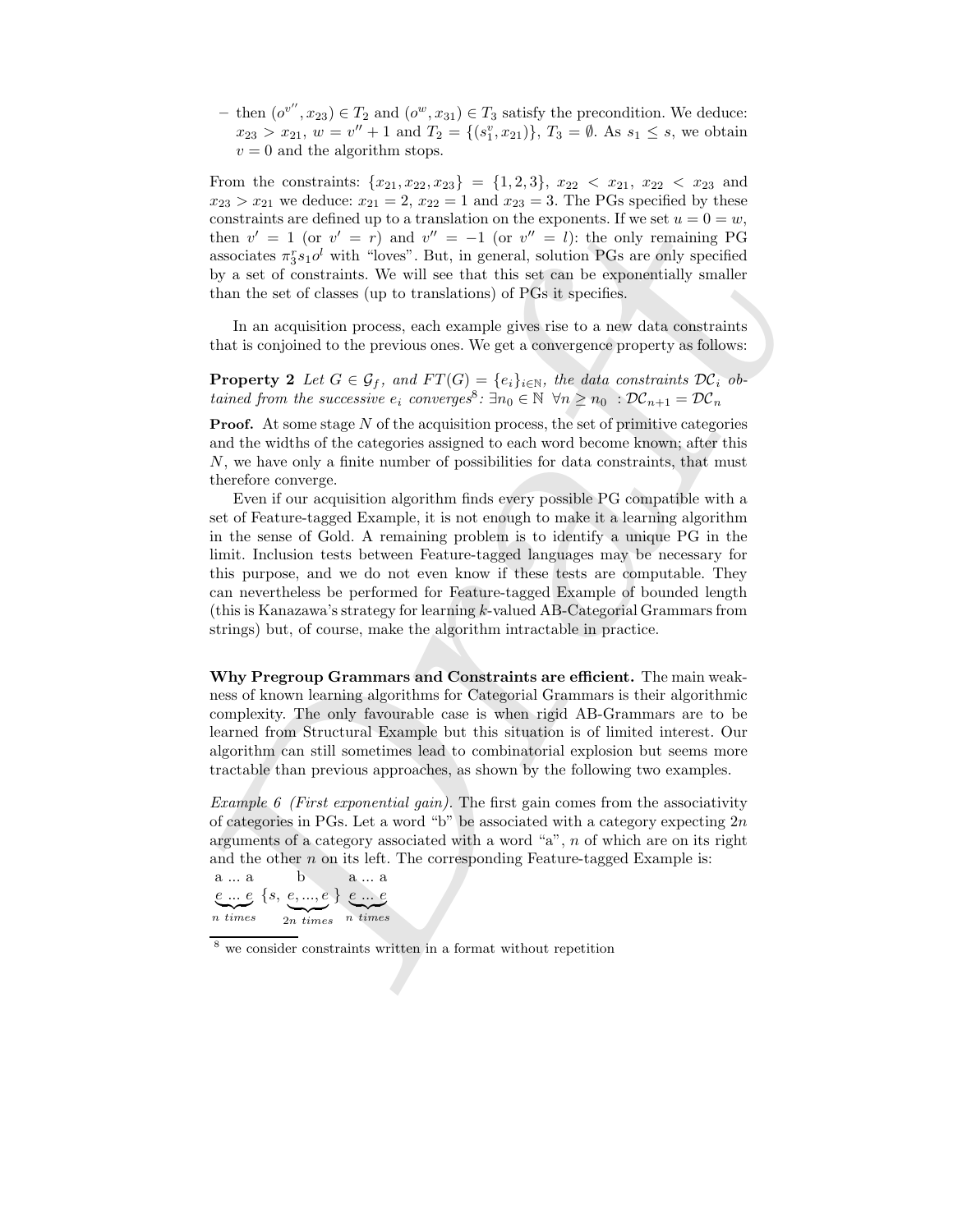– then  $(o^{v''}, x_{23}) \in T_2$  and  $(o^w, x_{31}) \in T_3$  satisfy the precondition. We deduce:  $x_{23} > x_{21}$ ,  $w = v'' + 1$  and  $T_2 = \{(s_1^v, x_{21})\}$ ,  $T_3 = \emptyset$ . As  $s_1 \leq s$ , we obtain  $v = 0$  and the algorithm stops.

From the constraints:  ${x_{21}, x_{22}, x_{23}} = {1, 2, 3}$ ,  $x_{22} < x_{21}, x_{22} < x_{23}$  and  $x_{23} > x_{21}$  we deduce:  $x_{21} = 2, x_{22} = 1$  and  $x_{23} = 3$ . The PGs specified by these constraints are defined up to a translation on the exponents. If we set  $u = 0 = w$ , then  $v' = 1$  (or  $v' = r$ ) and  $v'' = -1$  (or  $v'' = l$ ): the only remaining PG associates  $\pi_3^r s_1 o^l$  with "loves". But, in general, solution PGs are only specified by a set of constraints. We will see that this set can be exponentially smaller than the set of classes (up to translations) of PGs it specifies.

In an acquisition process, each example gives rise to a new data constraints that is conjoined to the previous ones. We get a convergence property as follows:

**Property 2** Let  $G \in \mathcal{G}_f$ , and  $FT(G) = \{e_i\}_{i \in \mathbb{N}}$ , the data constraints  $DC_i$  obtained from the successive  $e_i$  converges<sup>8</sup>:  $\exists n_0 \in \mathbb{N}$   $\forall n \geq n_0$  :  $\mathcal{DC}_{n+1} = \mathcal{DC}_n$ 

**Proof.** At some stage  $N$  of the acquisition process, the set of primitive categories and the widths of the categories assigned to each word become known; after this N, we have only a finite number of possibilities for data constraints, that must therefore converge.

constraints are defined up to a translation on the exponents. If we set u = 0 = e.<br>then  $v' = 1$  (or  $v' = r$ ) and  $v'' = -1$  (or  $v'' = l$ ); the only remaining PG<br>associates  $\pi_5\gamma_5 v'$  with "loves", But, in general, solution PG Even if our acquisition algorithm finds every possible PG compatible with a set of Feature-tagged Example, it is not enough to make it a learning algorithm in the sense of Gold. A remaining problem is to identify a unique PG in the limit. Inclusion tests between Feature-tagged languages may be necessary for this purpose, and we do not even know if these tests are computable. They can nevertheless be performed for Feature-tagged Example of bounded length (this is Kanazawa'sstrategy for learning k-valued AB-Categorial Grammars from strings) but, of course, make the algorithm intractable in practice.

Why Pregroup Grammars and Constraints are efficient. The main weakness of known learning algorithms for Categorial Grammars is their algorithmic complexity. The only favourable case is when rigid AB-Grammars are to be learned from Structural Example but this situation is of limited interest. Our algorithm can still sometimes lead to combinatorial explosion but seems more tractable than previous approaches, as shown by the following two examples.

Example 6 (First exponential gain). The first gain comes from the associativity of categories in PGs. Let a word "b" be associated with a category expecting  $2n$ arguments of a category associated with a word "a", n of which are on its right and the other  $n$  on its left. The corresponding Feature-tagged Example is:

a ... a b a ... a e ... e  $\sum_{n \text{ times}}$  $\{s, e, ..., e\}$  $\sum_{2n \; times}$ } e ... e  $\overbrace{n \; times}$ 

<sup>8</sup> we consider constraints written in a format without repetition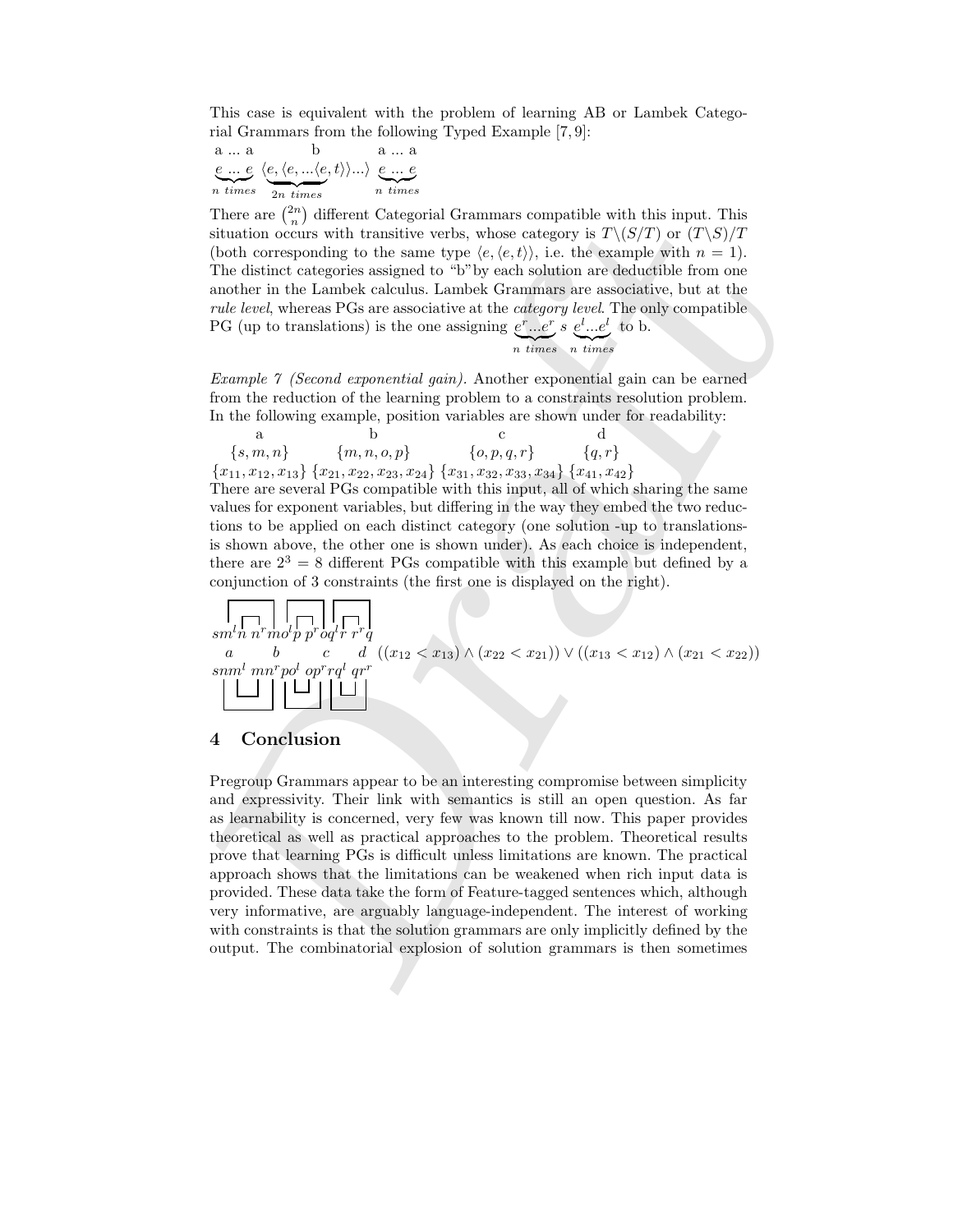This case is equivalent with the problem of learning AB or Lambek Categorial Grammars from the following Typed Example [7, 9]:

a ... a  
\ne ... e  
\ne 
$$
\langle e, \langle e, ... \langle e, t \rangle \rangle ... \rangle
$$
 e ... e  
\nn times  
\nn times

There are  $\binom{2n}{n}$  different Categorial Grammars compatible with this input. This situation occurs with transitive verbs, whose category is  $T\setminus (S/T)$  or  $(T\setminus S)/T$ (both corresponding to the same type  $\langle e, \langle e, t \rangle \rangle$ , i.e. the example with  $n = 1$ ). The distinct categories assigned to "b"by each solution are deductible from one another in the Lambek calculus. Lambek Grammars are associative, but at the rule level, whereas PGs are associative at the category level. The only compatible PG (up to translations) is the one assigning  $e^r...e^r$  $s$   $e^{l}...e^{l}$ to b.

$$
n \text{ times } n \text{ times}
$$

Example 7 (Second exponential gain). Another exponential gain can be earned from the reduction of the learning problem to a constraints resolution problem. In the following example, position variables are shown under for readability:

a b c d {s, m, n} {m, n, o, p} {o, p, q, r} {q, r} {x11, x12, x13} {x21, x22, x23, x24} {x31, x32, x33, x34} {x41, x42}

There are several PGs compatible with this input, all of which sharing the same values for exponent variables, but differing in the way they embed the two reductions to be applied on each distinct category (one solution -up to translationsis shown above, the other one is shown under). As each choice is independent, there are  $2^3 = 8$  different PGs compatible with this example but defined by a conjunction of 3 constraints (the first one is displayed on the right).

$$
\begin{array}{c}\n\pi^{l} \prod_{n \text{ mod } p} \prod_{p \text{ mod } r} \prod_{r^{r} q} \\
a & b & c & d & ((x_{12} < x_{13}) \land (x_{22} < x_{21})) \lor ((x_{13} < x_{12}) \land (x_{21} < x_{22})) \\
\text{sum} \prod_{i=1}^{n} \prod_{j=1}^{r} \prod_{j=1}^{r} \prod_{j=1}^{r} \end{array}
$$

# 4 Conclusion

There are ( $\frac{1}{3}$ ) different Gategorial Grammars compatible with this input. This point.<br>There are the three interests of the same by  $\langle \phi, \langle \phi, \phi \rangle \rangle$ , i.e. the example with a point<br>(both occurs with transitive verte Pregroup Grammars appear to be an interesting compromise between simplicity and expressivity. Their link with semantics is still an open question. As far as learnability is concerned, very few was known till now. This paper provides theoretical as well as practical approaches to the problem. Theoretical results prove that learning PGs is difficult unless limitations are known. The practical approach shows that the limitations can be weakened when rich input data is provided. These data take the form of Feature-tagged sentences which, although very informative, are arguably language-independent. The interest of working with constraints is that the solution grammars are only implicitly defined by the output. The combinatorial explosion of solution grammars is then sometimes